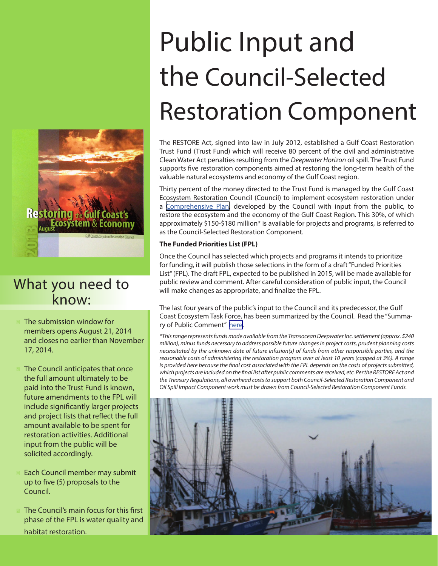# Restoring Economy

### What you need to know:

The submission window for members opens August 21, 2014 and closes no earlier than November 17, 2014.

The Council anticipates that once the full amount ultimately to be paid into the Trust Fund is known, future amendments to the FPL will include significantly larger projects and project lists that reflect the full amount available to be spent for restoration activities. Additional input from the public will be solicited accordingly.

Each Council member may submit up to five (5) proposals to the Council.

The Council's main focus for this first phase of the FPL is water quality and habitat restoration.

# Public Input and the Council-Selected Restoration Component

The RESTORE Act, signed into law in July 2012, established a Gulf Coast Restoration Trust Fund (Trust Fund) which will receive 80 percent of the civil and administrative Clean Water Act penalties resulting from the *Deepwater Horizon* oil spill. The Trust Fund supports five restoration components aimed at restoring the long-term health of the valuable natural ecosystems and economy of the Gulf Coast region.

Thirty percent of the money directed to the Trust Fund is managed by the Gulf Coast Ecosystem Restoration Council (Council) to implement ecosystem restoration under a [Comprehensive Plan](http://www.restorethegulf.gov/sites/default/files/GCERC%20Comp%20Plan%20Fact%20Sheet_0.pdf), developed by the Council with input from the public, to restore the ecosystem and the economy of the Gulf Coast Region. This 30%, of which approximately \$150-\$180 million\* is available for projects and programs, is referred to as the Council-Selected Restoration Component.

#### **The Funded Priorities List (FPL)**

Once the Council has selected which projects and programs it intends to prioritize for funding, it will publish those selections in the form of a draft "Funded Priorities List" (FPL). The draft FPL, expected to be published in 2015, will be made available for public review and comment. After careful consideration of public input, the Council will make changes as appropriate, and finalize the FPL.

The last four years of the public's input to the Council and its predecessor, the Gulf Coast Ecosystem Task Force, has been summarized by the Council. Read the "Summary of Public Comment" [here.](http://www.restorethegulf.gov/sites/default/files/Summary%20of%20Public%20Input%20%282010-2013%29.pdf)

*\*This range represents funds made available from the Transocean Deepwater Inc. settlement (approx. \$240 million), minus funds necessary to address possible future changes in project costs, prudent planning costs necessitated by the unknown date of future infusion(s) of funds from other responsible parties, and the reasonable costs of administering the restoration program over at least 10 years (capped at 3%). A range is provided here because the final cost associated with the FPL depends on the costs of projects submitted, which projects are included on the final list after public comments are received, etc. Per the RESTORE Act and the Treasury Regulations, all overhead costs to support both Council-Selected Restoration Component and Oil Spill Impact Component work must be drawn from Council-Selected Restoration Component Funds.*